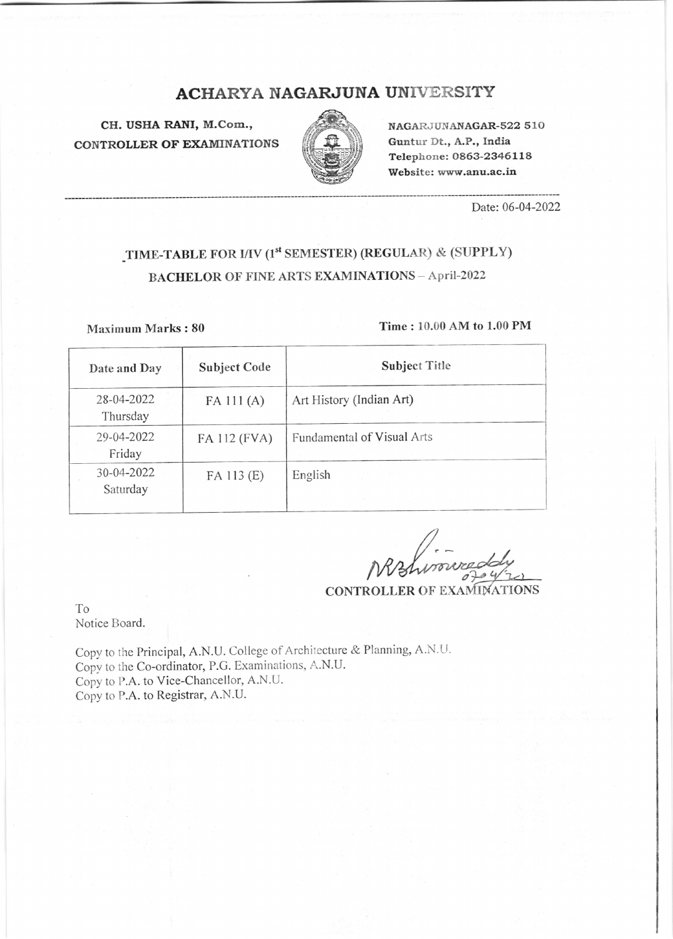## ACHARYA NAGARJUNA UNIVERSITY

CH. USHA RANI, M.Com., CONTROLLER OF EXAMINATIONS



NAGARJUNANAGAR-522 510 Guntur Dt., A.P., India Telephone: 0863-2346 <sup>1</sup>1 8 Website: www.anu.ac.in

Date:06-04-2022

# TIME-TABLE FOR I/IV (1<sup>st</sup> SEMESTER) (REGULAR) & (SUPPLY) BACHELOR OF FINE ARTS EXAMINATIONS - April-2022

### Maximum Marks:  $80$  Time :  $10.00$  AM to  $1.00$  PM

| Date and Day           | <b>Subject Code</b> | <b>Subject Title</b>       |
|------------------------|---------------------|----------------------------|
| 28-04-2022<br>Thursday | $FA$ 111 $(A)$      | Art History (Indian Art)   |
| 29-04-2022<br>Friday   | FA 112 (FVA)        | Fundamental of Visual Arts |
| 30-04-2022<br>Saturday | FA 113 (E)          | English                    |

CONTROLLER OF EXAMINATIONS

To Notice Board.

copy to the Principal, A.N.u. college of Architecture & Planning, A.N.U. Copy to the Co-ordinator, P.G. Examinations, A.N.U. Copy to P.A. to Vice-Chancellor, A.N.U. Copy to P.A. to Registrar, A.N.U.